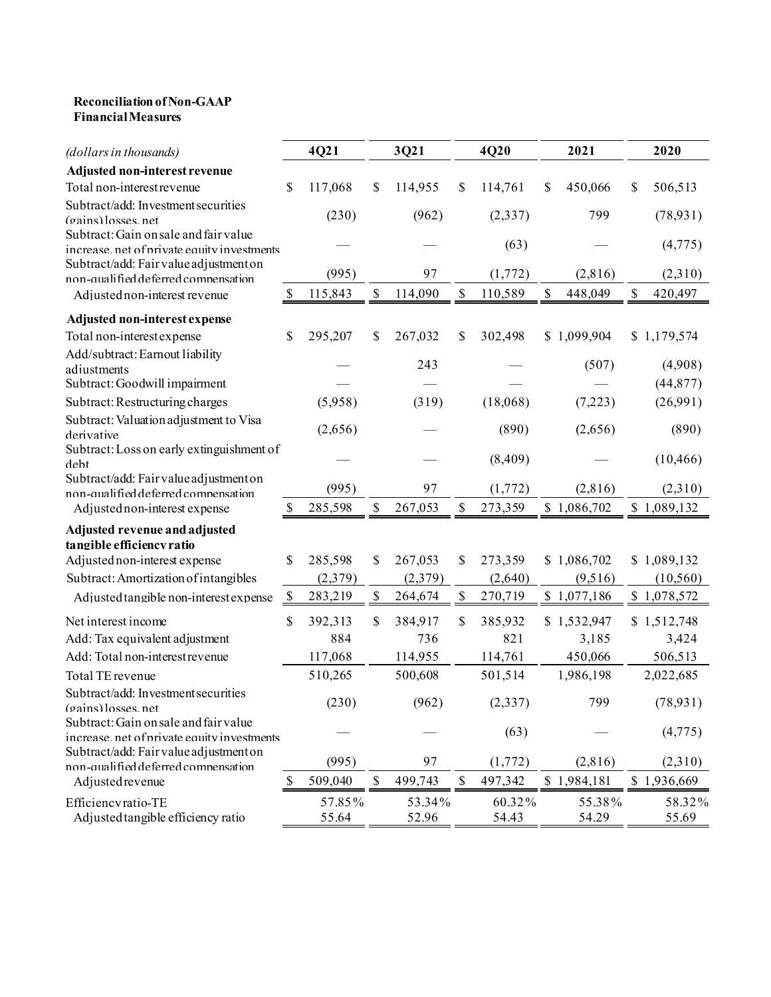## **Reconciliation of Non-GAAP Financial Measures**

| (dollars in thousands)                                                        |                           | 4Q21    |                           | 3Q21    |              | 4Q20     |              | 2021        | 2020          |
|-------------------------------------------------------------------------------|---------------------------|---------|---------------------------|---------|--------------|----------|--------------|-------------|---------------|
| Adjusted non-interest revenue                                                 |                           |         |                           |         |              |          |              |             |               |
| Total non-interest revenue                                                    | \$                        | 117,068 | \$                        | 114,955 | \$           | 114,761  | \$           | 450,066     | \$<br>506,513 |
| Subtract/add: Investment securities                                           |                           |         |                           |         |              |          |              |             |               |
| (gains) losses.net                                                            |                           | (230)   |                           | (962)   |              | (2, 337) |              | 799         | (78, 931)     |
| Subtract: Gain on sale and fair value                                         |                           |         |                           |         |              | (63)     |              |             | (4, 775)      |
| increase. net of private equity investments                                   |                           |         |                           |         |              |          |              |             |               |
| Subtract/add: Fair value adjustment on<br>non-qualified deferred compensation |                           | (995)   |                           | 97      |              | (1,772)  |              | (2,816)     | (2,310)       |
| Adjusted non-interest revenue                                                 | <sup>\$</sup>             | 115,843 | $\mathbb{S}$              | 114,090 | \$           | 110,589  | $\mathbb{S}$ | 448,049     | \$<br>420,497 |
| Adjusted non-interest expense                                                 |                           |         |                           |         |              |          |              |             |               |
| Total non-interest expense                                                    | \$                        | 295,207 | \$                        | 267,032 | \$           | 302,498  |              | \$1,099,904 | \$1,179,574   |
| Add/subtract: Earnout liability                                               |                           |         |                           |         |              |          |              |             |               |
| adiustments                                                                   |                           |         |                           | 243     |              |          |              | (507)       | (4,908)       |
| Subtract: Goodwill impairment                                                 |                           |         |                           |         |              |          |              |             | (44, 877)     |
| Subtract: Restructuring charges                                               |                           | (5,958) |                           | (319)   |              | (18,068) |              | (7,223)     | (26,991)      |
| Subtract: Valuation adjustment to Visa                                        |                           |         |                           |         |              |          |              |             |               |
| derivative                                                                    |                           | (2,656) |                           |         |              | (890)    |              | (2,656)     | (890)         |
| Subtract: Loss on early extinguishment of                                     |                           |         |                           |         |              |          |              |             |               |
| debt                                                                          |                           |         |                           |         |              | (8,409)  |              |             | (10, 466)     |
| Subtract/add: Fair value adjustment on<br>non-qualified deferred compensation |                           | (995)   |                           | 97      |              | (1,772)  |              | (2,816)     | (2,310)       |
| Adjusted non-interest expense                                                 | $\boldsymbol{\mathsf{S}}$ | 285,598 | \$                        | 267,053 | \$           | 273,359  |              | \$1,086,702 | \$1,089,132   |
|                                                                               |                           |         |                           |         |              |          |              |             |               |
| Adjusted revenue and adjusted<br>tangible efficiency ratio                    |                           |         |                           |         |              |          |              |             |               |
| Adjusted non-interest expense                                                 | \$                        | 285,598 | \$                        | 267,053 | \$           | 273,359  |              | \$1,086,702 | \$1,089,132   |
| Subtract: Amortization of intangibles                                         |                           | (2,379) |                           | (2,379) |              | (2,640)  |              | (9,516)     | (10, 560)     |
|                                                                               | $\mathcal{S}$             | 283,219 | $\boldsymbol{\mathsf{S}}$ | 264,674 | $\mathbb{S}$ | 270,719  |              | \$1,077,186 | \$1,078,572   |
| Adjusted tangible non-interest expense                                        |                           |         |                           |         |              |          |              |             |               |
| Net interest income                                                           | \$                        | 392,313 | \$                        | 384,917 | \$           | 385,932  |              | \$1,532,947 | \$1,512,748   |
| Add: Tax equivalent adjustment                                                |                           | 884     |                           | 736     |              | 821      |              | 3,185       | 3,424         |
| Add: Total non-interest revenue                                               |                           | 117,068 |                           | 114,955 |              | 114,761  |              | 450,066     | 506,513       |
| Total TE revenue                                                              |                           | 510,265 |                           | 500,608 |              | 501,514  |              | 1,986,198   | 2,022,685     |
| Subtract/add: Investment securities                                           |                           |         |                           |         |              |          |              |             |               |
| (gains) losses net                                                            |                           | (230)   |                           | (962)   |              | (2, 337) |              | 799         | (78, 931)     |
| Subtract: Gain on sale and fair value                                         |                           |         |                           |         |              | (63)     |              |             | (4, 775)      |
| increase, net of private equity investments                                   |                           |         |                           |         |              |          |              |             |               |
| Subtract/add: Fair value adjustment on<br>non-qualified deferred compensation |                           | (995)   |                           | 97      |              | (1,772)  |              | (2,816)     | (2,310)       |
| Adjusted revenue                                                              | $\mathbb{S}$              | 509,040 | \$                        | 499,743 | \$           | 497,342  |              | \$1,984,181 | \$1,936,669   |
| Efficiencvratio-TE                                                            |                           | 57.85%  |                           | 53.34%  |              | 60.32%   |              | 55.38%      | 58.32%        |
| Adjusted tangible efficiency ratio                                            |                           | 55.64   |                           | 52.96   |              | 54.43    |              | 54.29       | 55.69         |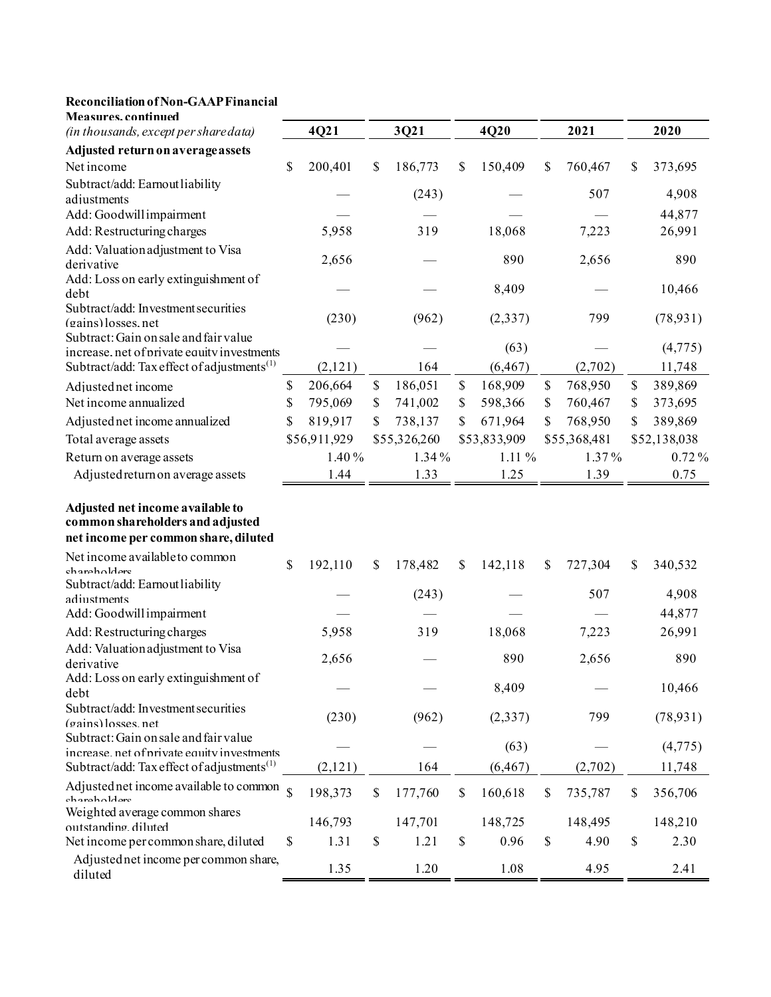## **Reconciliation of Non-GAAP Financial**

| <b>Measures.continued</b>                                                            |             |              |               |              |              |      |              |               |
|--------------------------------------------------------------------------------------|-------------|--------------|---------------|--------------|--------------|------|--------------|---------------|
| (in thousands, except per share data)                                                |             | 4Q21         | 3Q21          |              | 4Q20         |      | 2021         | 2020          |
| Adjusted return on average assets                                                    |             |              |               |              |              |      |              |               |
| Net income                                                                           | \$          | 200,401      | \$<br>186,773 | $\mathbb{S}$ | 150,409      | \$   | 760,467      | \$<br>373,695 |
| Subtract/add: Earnout liability                                                      |             |              | (243)         |              |              |      | 507          | 4,908         |
| adjustments                                                                          |             |              |               |              |              |      |              |               |
| Add: Goodwill impairment                                                             |             |              |               |              |              |      |              | 44,877        |
| Add: Restructuring charges                                                           |             | 5,958        | 319           |              | 18,068       |      | 7,223        | 26,991        |
| Add: Valuation adjustment to Visa<br>derivative                                      |             | 2,656        |               |              | 890          |      | 2,656        | 890           |
| Add: Loss on early extinguishment of                                                 |             |              |               |              |              |      |              |               |
| deht                                                                                 |             |              |               |              | 8,409        |      |              | 10,466        |
| Subtract/add: Investment securities                                                  |             | (230)        | (962)         |              | (2, 337)     |      | 799          | (78, 931)     |
| (gains) losses, net                                                                  |             |              |               |              |              |      |              |               |
| Subtract: Gain on sale and fair value<br>increase. net of private equity investments |             |              |               |              | (63)         |      |              | (4,775)       |
| Subtract/add: Tax effect of adjustments <sup>(1)</sup>                               |             | (2,121)      | 164           |              | (6, 467)     |      | (2,702)      | 11,748        |
| Adjusted net income                                                                  | \$          | 206,664      | \$<br>186,051 | \$           | 168,909      | \$   | 768,950      | \$<br>389,869 |
| Net income annualized                                                                | \$          | 795,069      | \$<br>741,002 | \$           | 598,366      | \$   | 760,467      | \$<br>373,695 |
| Adjusted net income annualized                                                       | \$          | 819,917      | \$<br>738,137 | \$           | 671,964      | \$   | 768,950      | \$<br>389,869 |
| Total average assets                                                                 |             | \$56,911,929 | \$55,326,260  |              | \$53,833,909 |      | \$55,368,481 | \$52,138,038  |
| Return on average assets                                                             |             | 1.40%        | 1.34%         |              | 1.11 %       |      | 1.37%        | 0.72%         |
| Adjusted return on average assets                                                    |             | 1.44         | 1.33          |              | 1.25         |      | 1.39         | 0.75          |
| Adjusted net income available to<br>common shareholders and adjusted                 |             |              |               |              |              |      |              |               |
| net income per common share, diluted                                                 |             |              |               |              |              |      |              |               |
| Net income available to common                                                       |             |              |               |              |              |      |              |               |
| chareholders                                                                         | \$          | 192,110      | \$<br>178,482 | \$           | 142,118      | \$   | 727,304      | \$<br>340,532 |
| Subtract/add: Earnout liability                                                      |             |              | (243)         |              |              |      | 507          | 4,908         |
| adiustments                                                                          |             |              |               |              |              |      |              |               |
| Add: Goodwill impairment                                                             |             |              |               |              |              |      |              | 44,877        |
| Add: Restructuring charges                                                           |             | 5,958        | 319           |              | 18,068       |      | 7,223        | 26,991        |
| Add: Valuation adjustment to Visa<br>derivative                                      |             | 2,656        |               |              | 890          |      | 2,656        | 890           |
| Add: Loss on early extinguishment of                                                 |             |              |               |              |              |      |              |               |
| debt                                                                                 |             |              |               |              | 8,409        |      |              | 10,466        |
| Subtract/add: Investment securities                                                  |             | (230)        | (962)         |              | (2, 337)     |      | 799          | (78, 931)     |
| (gains) losses, net                                                                  |             |              |               |              |              |      |              |               |
| Subtract: Gain on sale and fair value<br>increase net of private equity investments  |             |              |               |              | (63)         |      |              | (4,775)       |
| Subtract/add: Tax effect of adjustments <sup>(1)</sup>                               |             | (2,121)      | 164           |              | (6, 467)     |      | (2,702)      | 11,748        |
| Adjusted net income available to common                                              | $\mathbf S$ | 198,373      | \$<br>177,760 | $\$$         | 160,618      | $\$$ | 735,787      | \$<br>356,706 |
| choraho1darc<br>Weighted average common shares                                       |             |              |               |              |              |      |              |               |
| outstanding diluted                                                                  |             | 146,793      | 147,701       |              | 148,725      |      | 148,495      | 148,210       |
| Net income per common share, diluted                                                 | \$          | 1.31         | \$<br>1.21    | \$           | 0.96         | \$   | 4.90         | \$<br>2.30    |
| Adjusted net income per common share,<br>diluted                                     |             | 1.35         | 1.20          |              | 1.08         |      | 4.95         | 2.41          |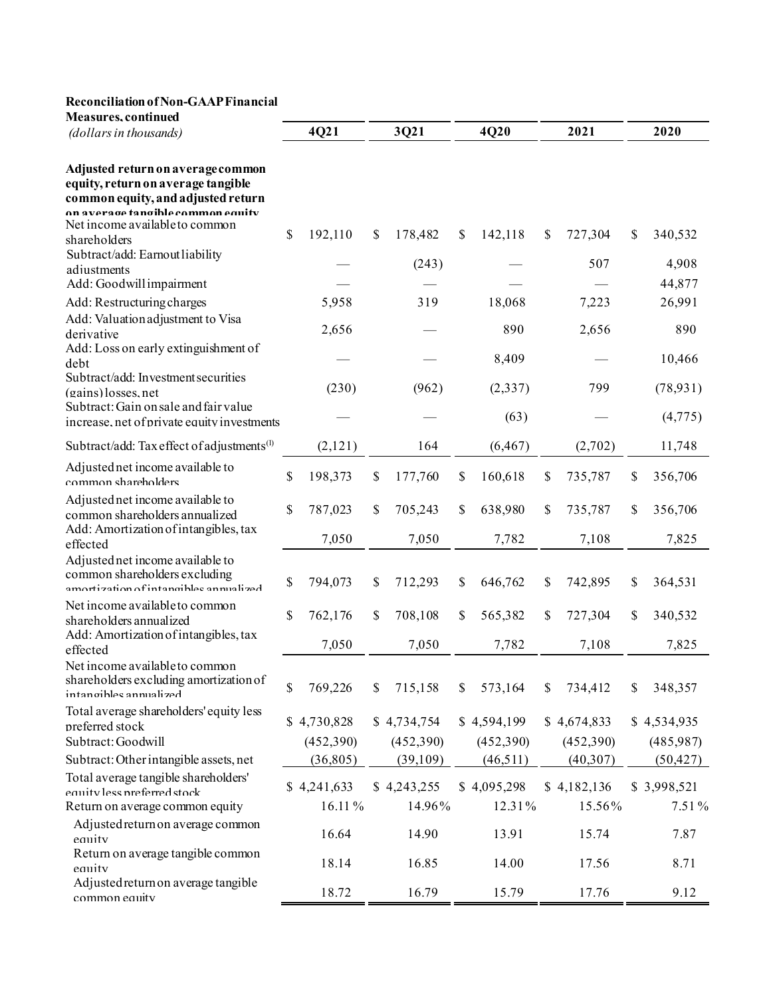## **Reconciliation of Non-GAAP Financial**

| <b>Measures</b> , continued                                                                                                                        |               |               |               |               |               |
|----------------------------------------------------------------------------------------------------------------------------------------------------|---------------|---------------|---------------|---------------|---------------|
| (dollars in thousands)                                                                                                                             | 4Q21          | 3Q21          | 4Q20          | 2021          | 2020          |
| Adjusted return on average common<br>equity, return on average tangible<br>common equity, and adjusted return<br>on average fangihle common equity |               |               |               |               |               |
| Net income available to common<br>shareholders                                                                                                     | \$<br>192,110 | \$<br>178,482 | \$<br>142,118 | \$<br>727,304 | \$<br>340,532 |
| Subtract/add: Earnout liability<br>adiustments                                                                                                     |               | (243)         |               | 507           | 4,908         |
| Add: Goodwill impairment                                                                                                                           |               |               |               |               | 44,877        |
| Add: Restructuring charges                                                                                                                         | 5,958         | 319           | 18,068        | 7,223         | 26,991        |
| Add: Valuation adjustment to Visa<br>derivative                                                                                                    | 2,656         |               | 890           | 2,656         | 890           |
| Add: Loss on early extinguishment of<br>debt                                                                                                       |               |               | 8,409         |               | 10,466        |
| Subtract/add: Investment securities<br>$(gains)$ losses, net                                                                                       | (230)         | (962)         | (2, 337)      | 799           | (78, 931)     |
| Subtract: Gain on sale and fair value<br>increase, net of private equity investments                                                               |               |               | (63)          |               | (4, 775)      |
| Subtract/add: Tax effect of adjustments <sup>(1)</sup>                                                                                             | (2,121)       | 164           | (6, 467)      | (2,702)       | 11,748        |
| Adjusted net income available to<br>common shareholders                                                                                            | \$<br>198,373 | \$<br>177,760 | \$<br>160,618 | \$<br>735,787 | \$<br>356,706 |
| Adjusted net income available to<br>common shareholders annualized<br>Add: Amortization of intangibles, tax                                        | \$<br>787,023 | \$<br>705,243 | \$<br>638,980 | \$<br>735,787 | \$<br>356,706 |
| effected                                                                                                                                           | 7,050         | 7,050         | 7,782         | 7,108         | 7,825         |
| Adjusted net income available to<br>common shareholders excluding<br>amortization of intangibles annualized                                        | \$<br>794,073 | \$<br>712,293 | \$<br>646,762 | \$<br>742,895 | \$<br>364,531 |
| Net income available to common<br>shareholders annualized                                                                                          | \$<br>762,176 | \$<br>708,108 | \$<br>565,382 | \$<br>727,304 | \$<br>340,532 |
| Add: Amortization of intangibles, tax<br>effected                                                                                                  | 7,050         | 7,050         | 7,782         | 7,108         | 7,825         |
| Net income available to common<br>shareholders excluding amortization of<br>intan cihles annualized                                                | \$<br>769,226 | \$<br>715,158 | \$<br>573,164 | \$<br>734,412 | \$<br>348,357 |
| Total average shareholders' equity less<br>preferred stock                                                                                         | \$4,730,828   | \$4,734,754   | \$4,594,199   | \$4,674,833   | \$4,534,935   |
| Subtract: Goodwill                                                                                                                                 | (452,390)     | (452,390)     | (452,390)     | (452,390)     | (485,987)     |
| Subtract: Other intangible assets, net                                                                                                             | (36,805)      | (39,109)      | (46,511)      | (40,307)      | (50, 427)     |
| Total average tangible shareholders'<br>equity less preferred stock                                                                                | \$4,241,633   | \$4,243,255   | \$4,095,298   | \$4,182,136   | \$3,998,521   |
| Return on average common equity                                                                                                                    | 16.11%        | 14.96%        | 12.31%        | 15.56%        | 7.51%         |
| Adjusted return on average common<br>equity                                                                                                        | 16.64         | 14.90         | 13.91         | 15.74         | 7.87          |
| Return on average tangible common<br>equity                                                                                                        | 18.14         | 16.85         | 14.00         | 17.56         | 8.71          |
| Adjusted return on average tangible<br>common equity                                                                                               | 18.72         | 16.79         | 15.79         | 17.76         | 9.12          |